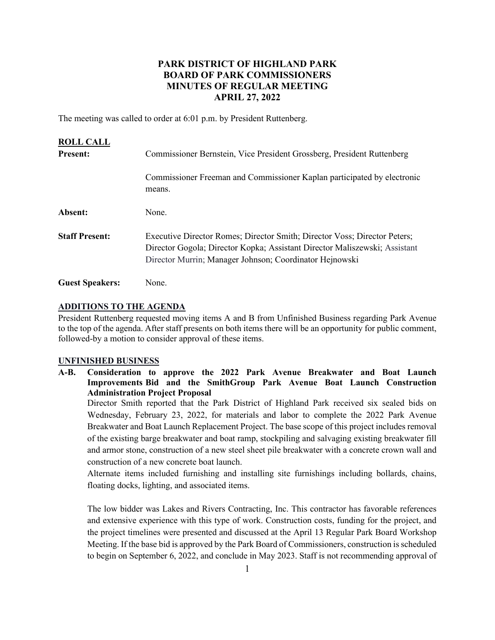# **PARK DISTRICT OF HIGHLAND PARK BOARD OF PARK COMMISSIONERS MINUTES OF REGULAR MEETING APRIL 27, 2022**

The meeting was called to order at 6:01 p.m. by President Ruttenberg.

| <b>ROLL CALL</b>       |                                                                                                                                                                                                                    |
|------------------------|--------------------------------------------------------------------------------------------------------------------------------------------------------------------------------------------------------------------|
| <b>Present:</b>        | Commissioner Bernstein, Vice President Grossberg, President Ruttenberg                                                                                                                                             |
|                        | Commissioner Freeman and Commissioner Kaplan participated by electronic<br>means.                                                                                                                                  |
| Absent:                | None.                                                                                                                                                                                                              |
| <b>Staff Present:</b>  | Executive Director Romes; Director Smith; Director Voss; Director Peters;<br>Director Gogola; Director Kopka; Assistant Director Maliszewski; Assistant<br>Director Murrin; Manager Johnson; Coordinator Hejnowski |
| <b>Guest Speakers:</b> | None.                                                                                                                                                                                                              |

### **ADDITIONS TO THE AGENDA**

President Ruttenberg requested moving items A and B from Unfinished Business regarding Park Avenue to the top of the agenda. After staff presents on both items there will be an opportunity for public comment, followed-by a motion to consider approval of these items.

### **UNFINISHED BUSINESS**

**A-B. Consideration to approve the 2022 Park Avenue Breakwater and Boat Launch Improvements Bid and the SmithGroup Park Avenue Boat Launch Construction Administration Project Proposal** 

Director Smith reported that the Park District of Highland Park received six sealed bids on Wednesday, February 23, 2022, for materials and labor to complete the 2022 Park Avenue Breakwater and Boat Launch Replacement Project. The base scope of this project includes removal of the existing barge breakwater and boat ramp, stockpiling and salvaging existing breakwater fill and armor stone, construction of a new steel sheet pile breakwater with a concrete crown wall and construction of a new concrete boat launch.

Alternate items included furnishing and installing site furnishings including bollards, chains, floating docks, lighting, and associated items.

The low bidder was Lakes and Rivers Contracting, Inc. This contractor has favorable references and extensive experience with this type of work. Construction costs, funding for the project, and the project timelines were presented and discussed at the April 13 Regular Park Board Workshop Meeting. If the base bid is approved by the Park Board of Commissioners, construction is scheduled to begin on September 6, 2022, and conclude in May 2023. Staff is not recommending approval of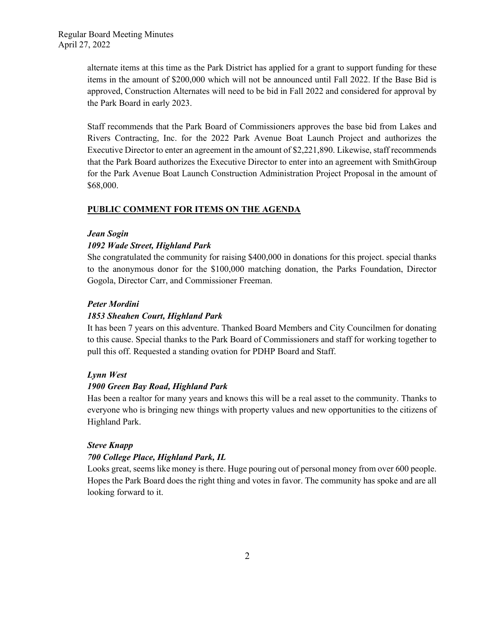alternate items at this time as the Park District has applied for a grant to support funding for these items in the amount of \$200,000 which will not be announced until Fall 2022. If the Base Bid is approved, Construction Alternates will need to be bid in Fall 2022 and considered for approval by the Park Board in early 2023.

Staff recommends that the Park Board of Commissioners approves the base bid from Lakes and Rivers Contracting, Inc. for the 2022 Park Avenue Boat Launch Project and authorizes the Executive Director to enter an agreement in the amount of \$2,221,890. Likewise, staff recommends that the Park Board authorizes the Executive Director to enter into an agreement with SmithGroup for the Park Avenue Boat Launch Construction Administration Project Proposal in the amount of \$68,000.

## **PUBLIC COMMENT FOR ITEMS ON THE AGENDA**

## *Jean Sogin*

## *1092 Wade Street, Highland Park*

She congratulated the community for raising \$400,000 in donations for this project. special thanks to the anonymous donor for the \$100,000 matching donation, the Parks Foundation, Director Gogola, Director Carr, and Commissioner Freeman.

## *Peter Mordini*

## *1853 Sheahen Court, Highland Park*

It has been 7 years on this adventure. Thanked Board Members and City Councilmen for donating to this cause. Special thanks to the Park Board of Commissioners and staff for working together to pull this off. Requested a standing ovation for PDHP Board and Staff.

## *Lynn West*

## *1900 Green Bay Road, Highland Park*

Has been a realtor for many years and knows this will be a real asset to the community. Thanks to everyone who is bringing new things with property values and new opportunities to the citizens of Highland Park.

## *Steve Knapp*

## *700 College Place, Highland Park, IL*

Looks great, seems like money is there. Huge pouring out of personal money from over 600 people. Hopes the Park Board does the right thing and votes in favor. The community has spoke and are all looking forward to it.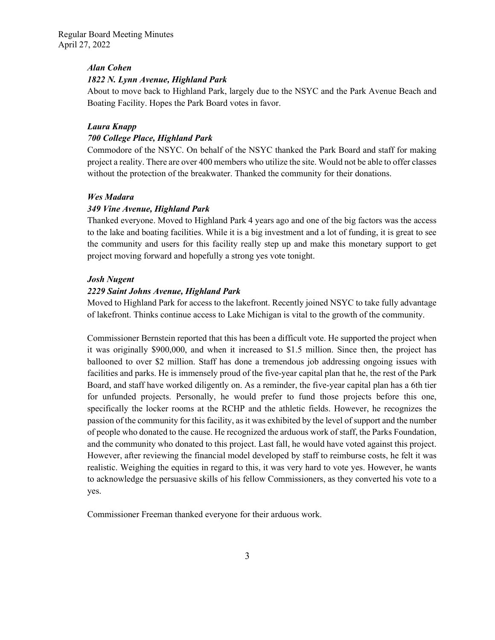Regular Board Meeting Minutes April 27, 2022

#### *Alan Cohen*

### *1822 N. Lynn Avenue, Highland Park*

About to move back to Highland Park, largely due to the NSYC and the Park Avenue Beach and Boating Facility. Hopes the Park Board votes in favor.

#### *Laura Knapp*

### *700 College Place, Highland Park*

Commodore of the NSYC. On behalf of the NSYC thanked the Park Board and staff for making project a reality. There are over 400 members who utilize the site. Would not be able to offer classes without the protection of the breakwater. Thanked the community for their donations.

### *Wes Madara*

### *349 Vine Avenue, Highland Park*

Thanked everyone. Moved to Highland Park 4 years ago and one of the big factors was the access to the lake and boating facilities. While it is a big investment and a lot of funding, it is great to see the community and users for this facility really step up and make this monetary support to get project moving forward and hopefully a strong yes vote tonight.

#### *Josh Nugent*

### *2229 Saint Johns Avenue, Highland Park*

Moved to Highland Park for access to the lakefront. Recently joined NSYC to take fully advantage of lakefront. Thinks continue access to Lake Michigan is vital to the growth of the community.

Commissioner Bernstein reported that this has been a difficult vote. He supported the project when it was originally \$900,000, and when it increased to \$1.5 million. Since then, the project has ballooned to over \$2 million. Staff has done a tremendous job addressing ongoing issues with facilities and parks. He is immensely proud of the five-year capital plan that he, the rest of the Park Board, and staff have worked diligently on. As a reminder, the five-year capital plan has a 6th tier for unfunded projects. Personally, he would prefer to fund those projects before this one, specifically the locker rooms at the RCHP and the athletic fields. However, he recognizes the passion of the community for this facility, as it was exhibited by the level of support and the number of people who donated to the cause. He recognized the arduous work of staff, the Parks Foundation, and the community who donated to this project. Last fall, he would have voted against this project. However, after reviewing the financial model developed by staff to reimburse costs, he felt it was realistic. Weighing the equities in regard to this, it was very hard to vote yes. However, he wants to acknowledge the persuasive skills of his fellow Commissioners, as they converted his vote to a yes.

Commissioner Freeman thanked everyone for their arduous work.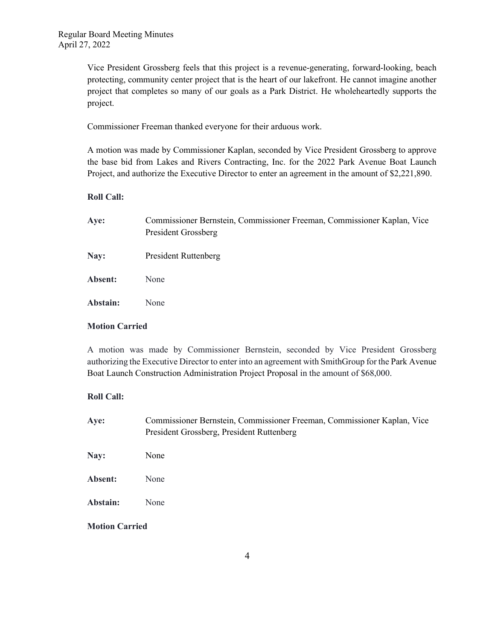Vice President Grossberg feels that this project is a revenue-generating, forward-looking, beach protecting, community center project that is the heart of our lakefront. He cannot imagine another project that completes so many of our goals as a Park District. He wholeheartedly supports the project.

Commissioner Freeman thanked everyone for their arduous work.

A motion was made by Commissioner Kaplan, seconded by Vice President Grossberg to approve the base bid from Lakes and Rivers Contracting, Inc. for the 2022 Park Avenue Boat Launch Project, and authorize the Executive Director to enter an agreement in the amount of \$2,221,890.

## **Roll Call:**

| Aye:     | Commissioner Bernstein, Commissioner Freeman, Commissioner Kaplan, Vice<br><b>President Grossberg</b> |
|----------|-------------------------------------------------------------------------------------------------------|
| Nay:     | <b>President Ruttenberg</b>                                                                           |
| Absent:  | None                                                                                                  |
| Abstain: | None                                                                                                  |

## **Motion Carried**

A motion was made by Commissioner Bernstein, seconded by Vice President Grossberg authorizing the Executive Director to enter into an agreement with SmithGroup for the Park Avenue Boat Launch Construction Administration Project Proposal in the amount of \$68,000.

## **Roll Call:**

| Aye:                  | Commissioner Bernstein, Commissioner Freeman, Commissioner Kaplan, Vice<br>President Grossberg, President Ruttenberg |  |
|-----------------------|----------------------------------------------------------------------------------------------------------------------|--|
| Nay:                  | None                                                                                                                 |  |
| Absent:               | None                                                                                                                 |  |
| Abstain:              | None                                                                                                                 |  |
| <b>Motion Carried</b> |                                                                                                                      |  |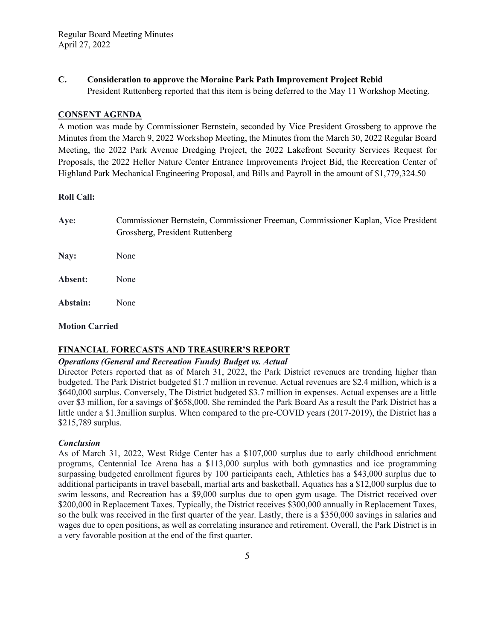**C. Consideration to approve the Moraine Park Path Improvement Project Rebid** President Ruttenberg reported that this item is being deferred to the May 11 Workshop Meeting.

### **CONSENT AGENDA**

A motion was made by Commissioner Bernstein, seconded by Vice President Grossberg to approve the Minutes from the March 9, 2022 Workshop Meeting, the Minutes from the March 30, 2022 Regular Board Meeting, the 2022 Park Avenue Dredging Project, the 2022 Lakefront Security Services Request for Proposals, the 2022 Heller Nature Center Entrance Improvements Project Bid, the Recreation Center of Highland Park Mechanical Engineering Proposal, and Bills and Payroll in the amount of \$1,779,324.50

### **Roll Call:**

**Aye:** Commissioner Bernstein, Commissioner Freeman, Commissioner Kaplan, Vice President Grossberg, President Ruttenberg **Nay:** None

**Absent:** None **Abstain:** None

## **Motion Carried**

## **FINANCIAL FORECASTS AND TREASURER'S REPORT**

## *Operations (General and Recreation Funds) Budget vs. Actual*

Director Peters reported that as of March 31, 2022, the Park District revenues are trending higher than budgeted. The Park District budgeted \$1.7 million in revenue. Actual revenues are \$2.4 million, which is a \$640,000 surplus. Conversely, The District budgeted \$3.7 million in expenses. Actual expenses are a little over \$3 million, for a savings of \$658,000. She reminded the Park Board As a result the Park District has a little under a \$1.3million surplus. When compared to the pre-COVID years (2017-2019), the District has a \$215,789 surplus.

## *Conclusion*

As of March 31, 2022, West Ridge Center has a \$107,000 surplus due to early childhood enrichment programs, Centennial Ice Arena has a \$113,000 surplus with both gymnastics and ice programming surpassing budgeted enrollment figures by 100 participants each, Athletics has a \$43,000 surplus due to additional participants in travel baseball, martial arts and basketball, Aquatics has a \$12,000 surplus due to swim lessons, and Recreation has a \$9,000 surplus due to open gym usage. The District received over \$200,000 in Replacement Taxes. Typically, the District receives \$300,000 annually in Replacement Taxes, so the bulk was received in the first quarter of the year. Lastly, there is a \$350,000 savings in salaries and wages due to open positions, as well as correlating insurance and retirement. Overall, the Park District is in a very favorable position at the end of the first quarter.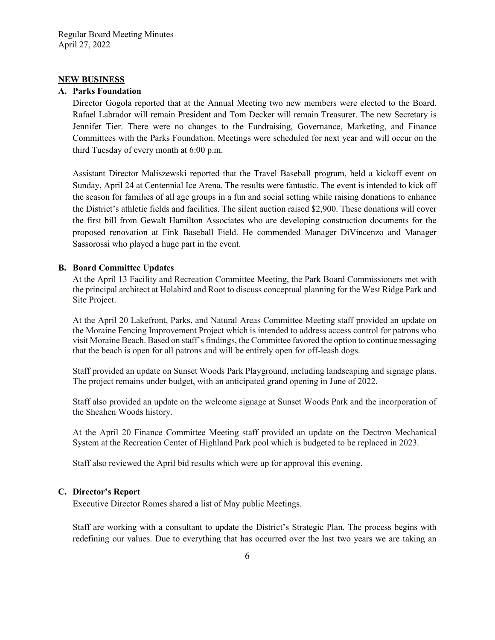## **NEW BUSINESS**

### **A. Parks Foundation**

Director Gogola reported that at the Annual Meeting two new members were elected to the Board. Rafael Labrador will remain President and Tom Decker will remain Treasurer. The new Secretary is Jennifer Tier. There were no changes to the Fundraising, Governance, Marketing, and Finance Committees with the Parks Foundation. Meetings were scheduled for next year and will occur on the third Tuesday of every month at 6:00 p.m.

Assistant Director Maliszewski reported that the Travel Baseball program, held a kickoff event on Sunday, April 24 at Centennial Ice Arena. The results were fantastic. The event is intended to kick off the season for families of all age groups in a fun and social setting while raising donations to enhance the District's athletic fields and facilities. The silent auction raised \$2,900. These donations will cover the first bill from Gewalt Hamilton Associates who are developing construction documents for the proposed renovation at Fink Baseball Field. He commended Manager DiVincenzo and Manager Sassorossi who played a huge part in the event.

## **B. Board Committee Updates**

At the April 13 Facility and Recreation Committee Meeting, the Park Board Commissioners met with the principal architect at Holabird and Root to discuss conceptual planning for the West Ridge Park and Site Project.

At the April 20 Lakefront, Parks, and Natural Areas Committee Meeting staff provided an update on the Moraine Fencing Improvement Project which is intended to address access control for patrons who visit Moraine Beach. Based on staff's findings, the Committee favored the option to continue messaging that the beach is open for all patrons and will be entirely open for off-leash dogs.

Staff provided an update on Sunset Woods Park Playground, including landscaping and signage plans. The project remains under budget, with an anticipated grand opening in June of 2022.

Staff also provided an update on the welcome signage at Sunset Woods Park and the incorporation of the Sheahen Woods history.

At the April 20 Finance Committee Meeting staff provided an update on the Dectron Mechanical System at the Recreation Center of Highland Park pool which is budgeted to be replaced in 2023.

Staff also reviewed the April bid results which were up for approval this evening.

### **C. Director's Report**

Executive Director Romes shared a list of May public Meetings.

Staff are working with a consultant to update the District's Strategic Plan. The process begins with redefining our values. Due to everything that has occurred over the last two years we are taking an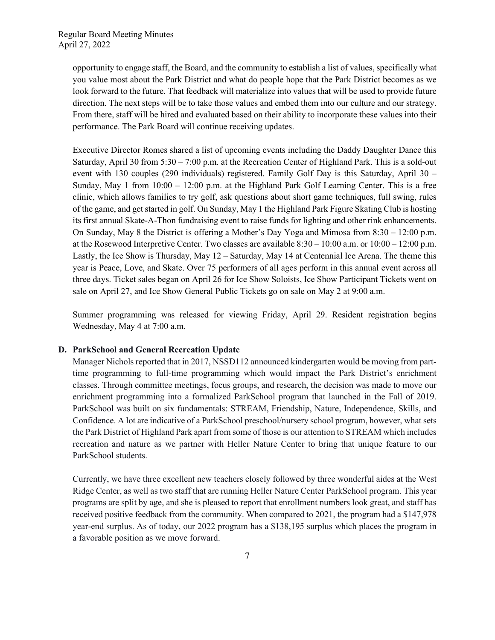opportunity to engage staff, the Board, and the community to establish a list of values, specifically what you value most about the Park District and what do people hope that the Park District becomes as we look forward to the future. That feedback will materialize into values that will be used to provide future direction. The next steps will be to take those values and embed them into our culture and our strategy. From there, staff will be hired and evaluated based on their ability to incorporate these values into their performance. The Park Board will continue receiving updates.

Executive Director Romes shared a list of upcoming events including the Daddy Daughter Dance this Saturday, April 30 from 5:30 – 7:00 p.m. at the Recreation Center of Highland Park. This is a sold-out event with 130 couples (290 individuals) registered. Family Golf Day is this Saturday, April 30 – Sunday, May 1 from 10:00 – 12:00 p.m. at the Highland Park Golf Learning Center. This is a free clinic, which allows families to try golf, ask questions about short game techniques, full swing, rules of the game, and get started in golf. On Sunday, May 1 the Highland Park Figure Skating Club is hosting its first annual Skate-A-Thon fundraising event to raise funds for lighting and other rink enhancements. On Sunday, May 8 the District is offering a Mother's Day Yoga and Mimosa from 8:30 – 12:00 p.m. at the Rosewood Interpretive Center. Two classes are available  $8:30 - 10:00$  a.m. or  $10:00 - 12:00$  p.m. Lastly, the Ice Show is Thursday, May 12 – Saturday, May 14 at Centennial Ice Arena. The theme this year is Peace, Love, and Skate. Over 75 performers of all ages perform in this annual event across all three days. Ticket sales began on April 26 for Ice Show Soloists, Ice Show Participant Tickets went on sale on April 27, and Ice Show General Public Tickets go on sale on May 2 at 9:00 a.m.

Summer programming was released for viewing Friday, April 29. Resident registration begins Wednesday, May 4 at 7:00 a.m.

## **D. ParkSchool and General Recreation Update**

Manager Nichols reported that in 2017, NSSD112 announced kindergarten would be moving from parttime programming to full-time programming which would impact the Park District's enrichment classes. Through committee meetings, focus groups, and research, the decision was made to move our enrichment programming into a formalized ParkSchool program that launched in the Fall of 2019. ParkSchool was built on six fundamentals: STREAM, Friendship, Nature, Independence, Skills, and Confidence. A lot are indicative of a ParkSchool preschool/nursery school program, however, what sets the Park District of Highland Park apart from some of those is our attention to STREAM which includes recreation and nature as we partner with Heller Nature Center to bring that unique feature to our ParkSchool students.

Currently, we have three excellent new teachers closely followed by three wonderful aides at the West Ridge Center, as well as two staff that are running Heller Nature Center ParkSchool program. This year programs are split by age, and she is pleased to report that enrollment numbers look great, and staff has received positive feedback from the community. When compared to 2021, the program had a \$147,978 year-end surplus. As of today, our 2022 program has a \$138,195 surplus which places the program in a favorable position as we move forward.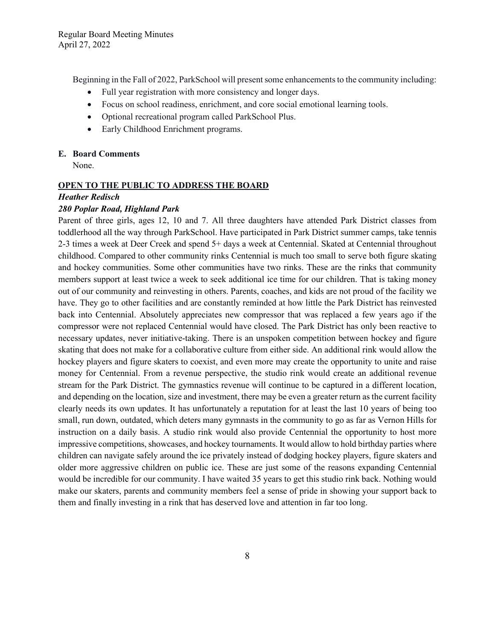Beginning in the Fall of 2022, ParkSchool will present some enhancements to the community including:

- Full year registration with more consistency and longer days.
- Focus on school readiness, enrichment, and core social emotional learning tools.
- Optional recreational program called ParkSchool Plus.
- Early Childhood Enrichment programs.

### **E. Board Comments**

None.

### **OPEN TO THE PUBLIC TO ADDRESS THE BOARD**

## *Heather Redisch*

## *280 Poplar Road, Highland Park*

Parent of three girls, ages 12, 10 and 7. All three daughters have attended Park District classes from toddlerhood all the way through ParkSchool. Have participated in Park District summer camps, take tennis 2-3 times a week at Deer Creek and spend 5+ days a week at Centennial. Skated at Centennial throughout childhood. Compared to other community rinks Centennial is much too small to serve both figure skating and hockey communities. Some other communities have two rinks. These are the rinks that community members support at least twice a week to seek additional ice time for our children. That is taking money out of our community and reinvesting in others. Parents, coaches, and kids are not proud of the facility we have. They go to other facilities and are constantly reminded at how little the Park District has reinvested back into Centennial. Absolutely appreciates new compressor that was replaced a few years ago if the compressor were not replaced Centennial would have closed. The Park District has only been reactive to necessary updates, never initiative-taking. There is an unspoken competition between hockey and figure skating that does not make for a collaborative culture from either side. An additional rink would allow the hockey players and figure skaters to coexist, and even more may create the opportunity to unite and raise money for Centennial. From a revenue perspective, the studio rink would create an additional revenue stream for the Park District. The gymnastics revenue will continue to be captured in a different location, and depending on the location, size and investment, there may be even a greater return as the current facility clearly needs its own updates. It has unfortunately a reputation for at least the last 10 years of being too small, run down, outdated, which deters many gymnasts in the community to go as far as Vernon Hills for instruction on a daily basis. A studio rink would also provide Centennial the opportunity to host more impressive competitions, showcases, and hockey tournaments. It would allow to hold birthday parties where children can navigate safely around the ice privately instead of dodging hockey players, figure skaters and older more aggressive children on public ice. These are just some of the reasons expanding Centennial would be incredible for our community. I have waited 35 years to get this studio rink back. Nothing would make our skaters, parents and community members feel a sense of pride in showing your support back to them and finally investing in a rink that has deserved love and attention in far too long.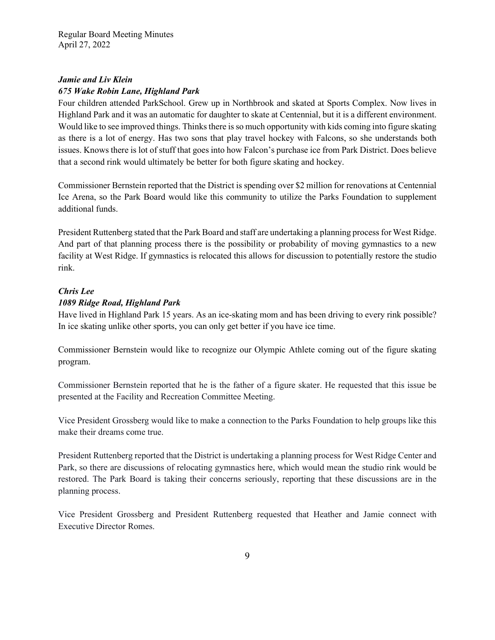# *Jamie and Liv Klein 675 Wake Robin Lane, Highland Park*

Four children attended ParkSchool. Grew up in Northbrook and skated at Sports Complex. Now lives in Highland Park and it was an automatic for daughter to skate at Centennial, but it is a different environment. Would like to see improved things. Thinks there is so much opportunity with kids coming into figure skating as there is a lot of energy. Has two sons that play travel hockey with Falcons, so she understands both issues. Knows there is lot of stuff that goes into how Falcon's purchase ice from Park District. Does believe that a second rink would ultimately be better for both figure skating and hockey.

Commissioner Bernstein reported that the District is spending over \$2 million for renovations at Centennial Ice Arena, so the Park Board would like this community to utilize the Parks Foundation to supplement additional funds.

President Ruttenberg stated that the Park Board and staff are undertaking a planning process for West Ridge. And part of that planning process there is the possibility or probability of moving gymnastics to a new facility at West Ridge. If gymnastics is relocated this allows for discussion to potentially restore the studio rink.

# *Chris Lee 1089 Ridge Road, Highland Park*

Have lived in Highland Park 15 years. As an ice-skating mom and has been driving to every rink possible? In ice skating unlike other sports, you can only get better if you have ice time.

Commissioner Bernstein would like to recognize our Olympic Athlete coming out of the figure skating program.

Commissioner Bernstein reported that he is the father of a figure skater. He requested that this issue be presented at the Facility and Recreation Committee Meeting.

Vice President Grossberg would like to make a connection to the Parks Foundation to help groups like this make their dreams come true.

President Ruttenberg reported that the District is undertaking a planning process for West Ridge Center and Park, so there are discussions of relocating gymnastics here, which would mean the studio rink would be restored. The Park Board is taking their concerns seriously, reporting that these discussions are in the planning process.

Vice President Grossberg and President Ruttenberg requested that Heather and Jamie connect with Executive Director Romes.